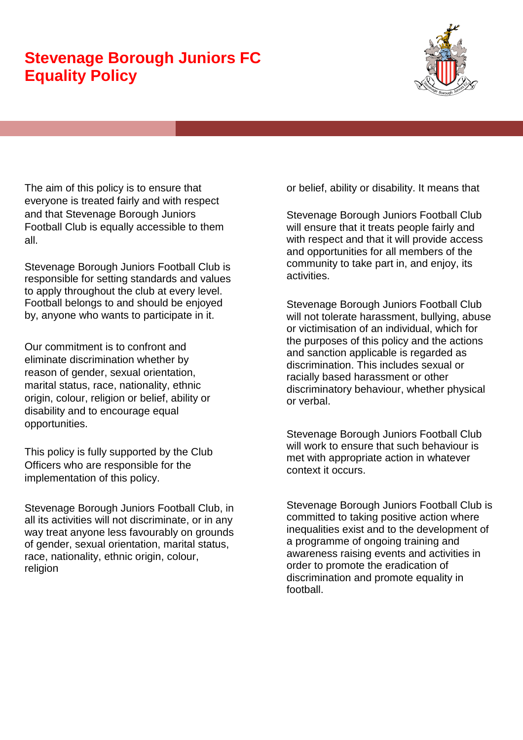## **Stevenage Borough Juniors FC Equality Policy**



The aim of this policy is to ensure that everyone is treated fairly and with respect and that Stevenage Borough Juniors Football Club is equally accessible to them all.

Stevenage Borough Juniors Football Club is responsible for setting standards and values to apply throughout the club at every level. Football belongs to and should be enjoyed by, anyone who wants to participate in it.

Our commitment is to confront and eliminate discrimination whether by reason of gender, sexual orientation, marital status, race, nationality, ethnic origin, colour, religion or belief, ability or disability and to encourage equal opportunities.

This policy is fully supported by the Club Officers who are responsible for the implementation of this policy.

Stevenage Borough Juniors Football Club, in all its activities will not discriminate, or in any way treat anyone less favourably on grounds of gender, sexual orientation, marital status, race, nationality, ethnic origin, colour, religion

or belief, ability or disability. It means that

Stevenage Borough Juniors Football Club will ensure that it treats people fairly and with respect and that it will provide access and opportunities for all members of the community to take part in, and enjoy, its activities.

Stevenage Borough Juniors Football Club will not tolerate harassment, bullying, abuse or victimisation of an individual, which for the purposes of this policy and the actions and sanction applicable is regarded as discrimination. This includes sexual or racially based harassment or other discriminatory behaviour, whether physical or verbal.

Stevenage Borough Juniors Football Club will work to ensure that such behaviour is met with appropriate action in whatever context it occurs.

Stevenage Borough Juniors Football Club is committed to taking positive action where inequalities exist and to the development of a programme of ongoing training and awareness raising events and activities in order to promote the eradication of discrimination and promote equality in football.